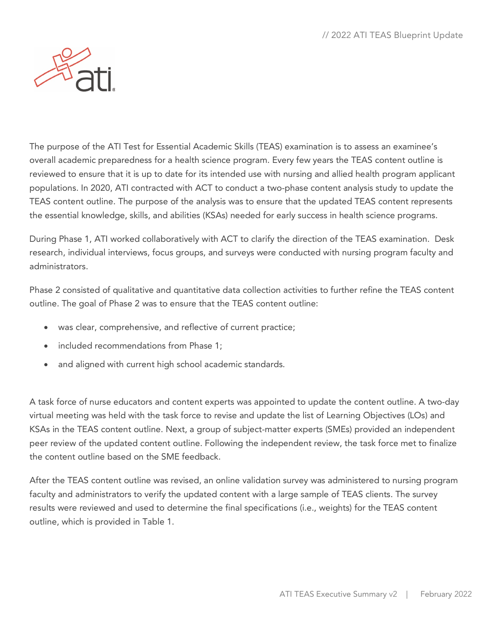

The purpose of the ATI Test for Essential Academic Skills (TEAS) examination is to assess an examinee's overall academic preparedness for a health science program. Every few years the TEAS content outline is reviewed to ensure that it is up to date for its intended use with nursing and allied health program applicant populations. In 2020, ATI contracted with ACT to conduct a two-phase content analysis study to update the TEAS content outline. The purpose of the analysis was to ensure that the updated TEAS content represents the essential knowledge, skills, and abilities (KSAs) needed for early success in health science programs.

During Phase 1, ATI worked collaboratively with ACT to clarify the direction of the TEAS examination. Desk research, individual interviews, focus groups, and surveys were conducted with nursing program faculty and administrators.

Phase 2 consisted of qualitative and quantitative data collection activities to further refine the TEAS content outline. The goal of Phase 2 was to ensure that the TEAS content outline:

- was clear, comprehensive, and reflective of current practice;
- included recommendations from Phase 1;
- and aligned with current high school academic standards.

A task force of nurse educators and content experts was appointed to update the content outline. A two-day virtual meeting was held with the task force to revise and update the list of Learning Objectives (LOs) and KSAs in the TEAS content outline. Next, a group of subject-matter experts (SMEs) provided an independent peer review of the updated content outline. Following the independent review, the task force met to finalize the content outline based on the SME feedback.

After the TEAS content outline was revised, an online validation survey was administered to nursing program faculty and administrators to verify the updated content with a large sample of TEAS clients. The survey results were reviewed and used to determine the final specifications (i.e., weights) for the TEAS content outline, which is provided in Table 1.